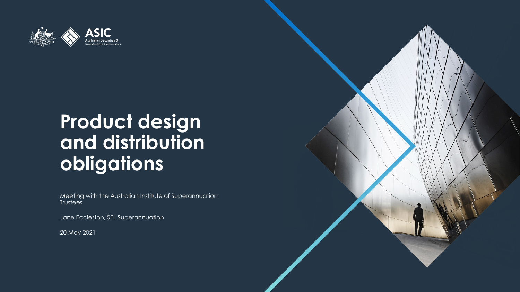

### **Product design and distribution obligations**

Meeting with the Australian Institute of Superannuation **Trustees** 

Jane Eccleston, SEL Superannuation

20 May 2021

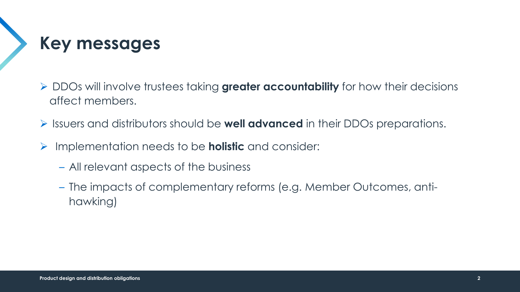

- DDOs will involve trustees taking **greater accountability** for how their decisions affect members.
- Issuers and distributors should be **well advanced** in their DDOs preparations.
- Implementation needs to be **holistic** and consider:
	- All relevant aspects of the business
	- The impacts of complementary reforms (e.g. Member Outcomes, antihawking)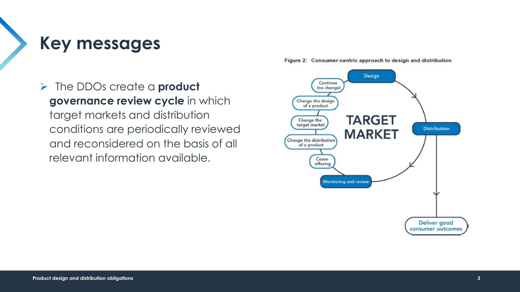**Key messages**

 The DDOs create a **product governance review cycle** in which target markets and distribution conditions are periodically reviewed and reconsidered on the basis of all relevant information available.



Figure 2: Consumer-centric approach to design and distribution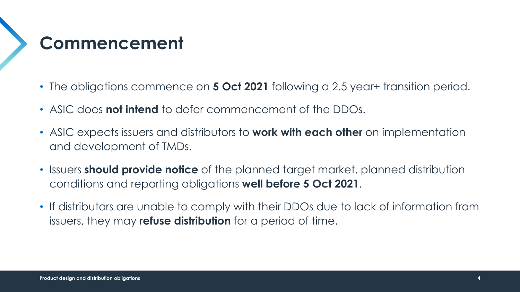### **Commencement**

- The obligations commence on **5 Oct 2021** following a 2.5 year+ transition period.
- ASIC does **not intend** to defer commencement of the DDOs.
- ASIC expects issuers and distributors to **work with each other** on implementation and development of TMDs.
- Issuers **should provide notice** of the planned target market, planned distribution conditions and reporting obligations **well before 5 Oct 2021**.
- If distributors are unable to comply with their DDOs due to lack of information from issuers, they may **refuse distribution** for a period of time.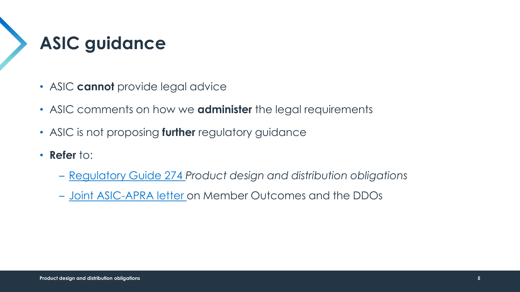# **ASIC guidance**

- ASIC **cannot** provide legal advice
- ASIC comments on how we **administer** the legal requirements
- ASIC is not proposing **further** regulatory guidance
- **Refer** to:
	- [Regulatory Guide 274](https://asic.gov.au/media/5899239/rg274-published-11-december-2020-20201218.pdf) *Product design and distribution obligations*
	- [Joint ASIC-APRA letter o](https://download.asic.gov.au/media/5893595/apra-asic-joint-letter-mo-ddo.pdf)n Member Outcomes and the DDOs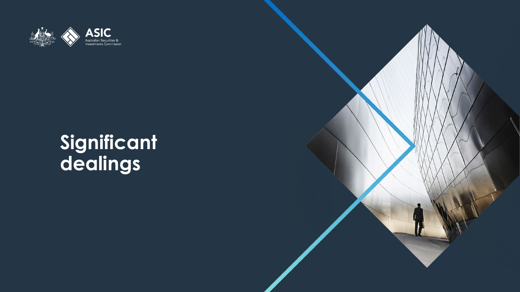

#### **Significant dealings**

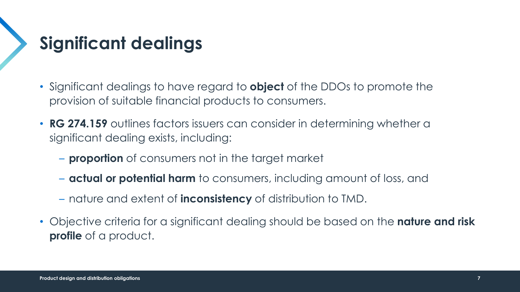### **Significant dealings**

- Significant dealings to have regard to **object** of the DDOs to promote the provision of suitable financial products to consumers.
- **RG 274.159** outlines factors issuers can consider in determining whether a significant dealing exists, including:
	- **proportion** of consumers not in the target market
	- **actual or potential harm** to consumers, including amount of loss, and
	- nature and extent of **inconsistency** of distribution to TMD.
- Objective criteria for a significant dealing should be based on the **nature and risk profile** of a product.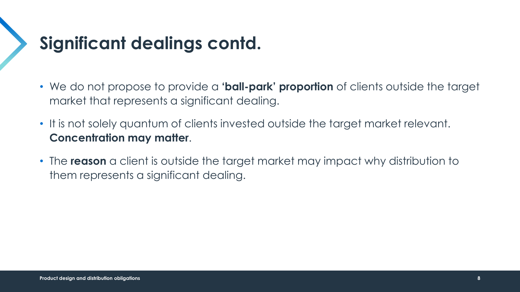### **Significant dealings contd.**

- We do not propose to provide a **'ball-park' proportion** of clients outside the target market that represents a significant dealing.
- It is not solely quantum of clients invested outside the target market relevant. **Concentration may matter**.
- The **reason** a client is outside the target market may impact why distribution to them represents a significant dealing.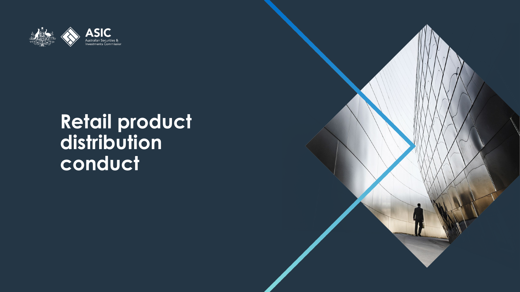

#### **Retail product distribution conduct**

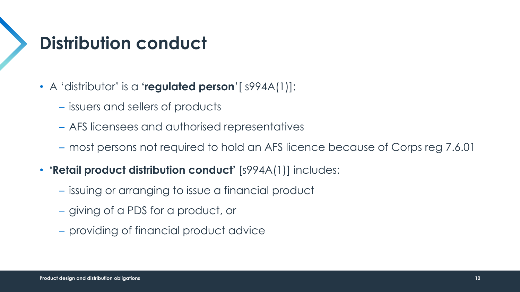### **Distribution conduct**

- A 'distributor' is a **'regulated person**'[ s994A(1)]:
	- issuers and sellers of products
	- AFS licensees and authorised representatives
	- most persons not required to hold an AFS licence because of Corps reg 7.6.01
- **'Retail product distribution conduct'** [s994A(1)] includes:
	- issuing or arranging to issue a financial product
	- giving of a PDS for a product, or
	- providing of financial product advice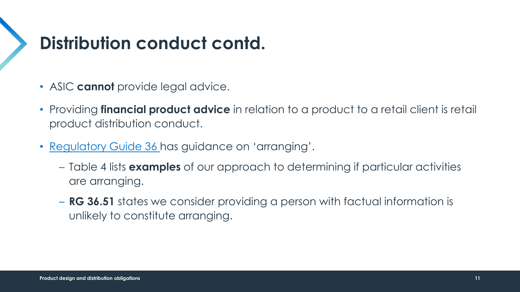#### **Distribution conduct contd.**

- ASIC **cannot** provide legal advice.
- Providing **financial product advice** in relation to a product to a retail client is retail product distribution conduct.
- [Regulatory Guide 36](https://asic.gov.au/media/5899239/rg274-published-11-december-2020-20201218.pdf) has guidance on 'arranging'.
	- Table 4 lists **examples** of our approach to determining if particular activities are arranging.
	- **RG 36.51** states we consider providing a person with factual information is unlikely to constitute arranging.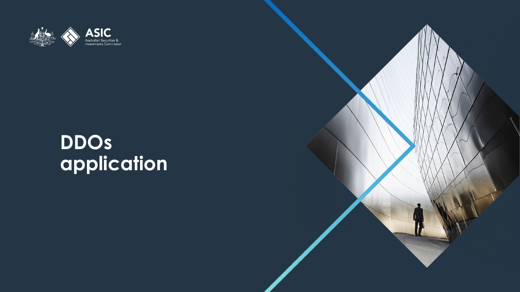

#### **DDOs application**

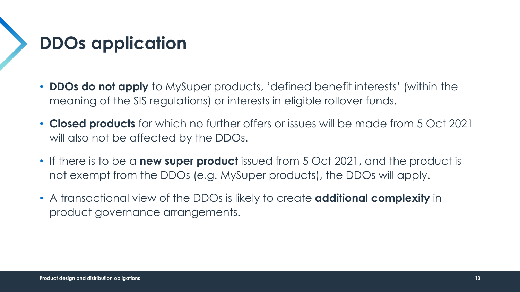### **DDOs application**

- **DDOs do not apply** to MySuper products, 'defined benefit interests' (within the meaning of the SIS regulations) or interests in eligible rollover funds.
- **Closed products** for which no further offers or issues will be made from 5 Oct 2021 will also not be affected by the DDOs.
- If there is to be a **new super product** issued from 5 Oct 2021, and the product is not exempt from the DDOs (e.g. MySuper products), the DDOs will apply.
- A transactional view of the DDOs is likely to create **additional complexity** in product governance arrangements.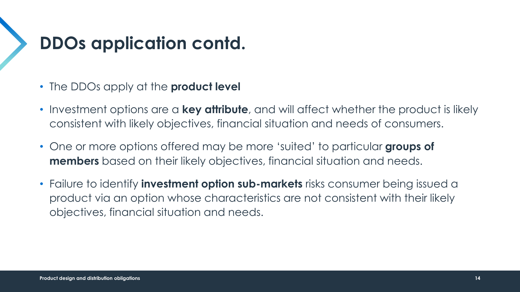### **DDOs application contd.**

- The DDOs apply at the **product level**
- Investment options are a **key attribute**, and will affect whether the product is likely consistent with likely objectives, financial situation and needs of consumers.
- One or more options offered may be more 'suited' to particular **groups of members** based on their likely objectives, financial situation and needs.
- Failure to identify **investment option sub-markets** risks consumer being issued a product via an option whose characteristics are not consistent with their likely objectives, financial situation and needs.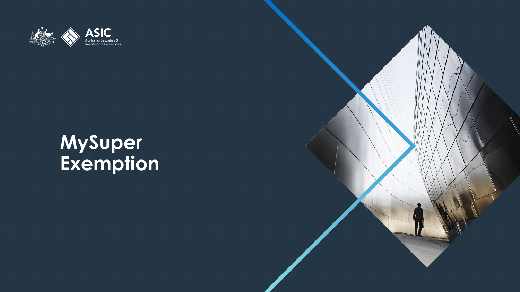

#### **MySuper Exemption**

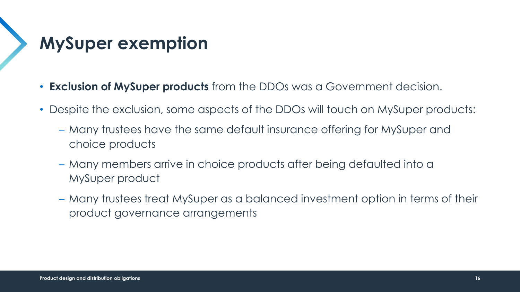### **MySuper exemption**

- **Exclusion of MySuper products** from the DDOs was a Government decision.
- Despite the exclusion, some aspects of the DDOs will touch on MySuper products:
	- Many trustees have the same default insurance offering for MySuper and choice products
	- Many members arrive in choice products after being defaulted into a MySuper product
	- Many trustees treat MySuper as a balanced investment option in terms of their product governance arrangements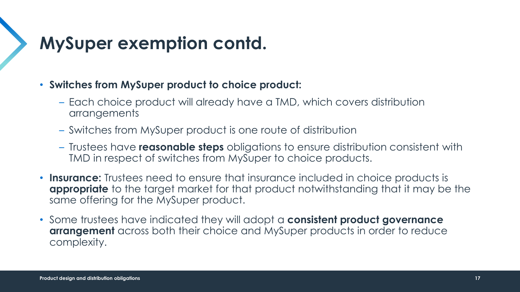### **MySuper exemption contd.**

- **Switches from MySuper product to choice product:**
	- Each choice product will already have a TMD, which covers distribution arrangements
	- Switches from MySuper product is one route of distribution
	- Trustees have **reasonable steps** obligations to ensure distribution consistent with TMD in respect of switches from MySuper to choice products.
- **Insurance:** Trustees need to ensure that insurance included in choice products is **appropriate** to the target market for that product notwithstanding that it may be the same offering for the MySuper product.
- Some trustees have indicated they will adopt a **consistent product governance arrangement** across both their choice and MySuper products in order to reduce complexity.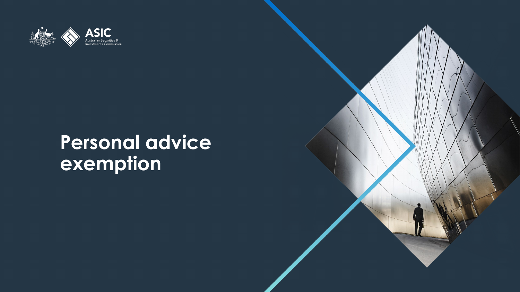

#### **Personal advice exemption**

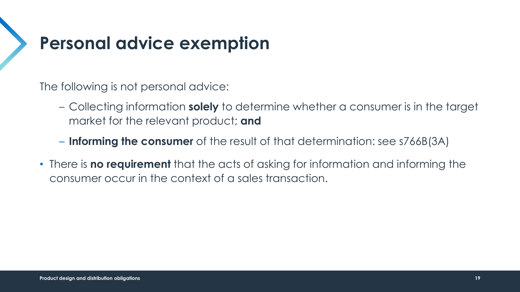#### **Personal advice exemption**

The following is not personal advice:

- Collecting information **solely** to determine whether a consumer is in the target market for the relevant product; **and**
- **Informing the consumer** of the result of that determination: see s766B(3A)
- There is **no requirement** that the acts of asking for information and informing the consumer occur in the context of a sales transaction.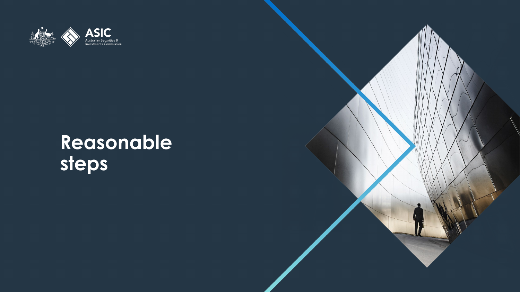

### **Reasonable steps**

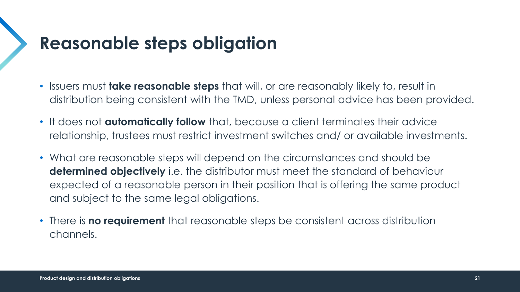#### **Reasonable steps obligation**

- Issuers must **take reasonable steps** that will, or are reasonably likely to, result in distribution being consistent with the TMD, unless personal advice has been provided.
- It does not **automatically follow** that, because a client terminates their advice relationship, trustees must restrict investment switches and/ or available investments.
- What are reasonable steps will depend on the circumstances and should be **determined objectively** i.e. the distributor must meet the standard of behaviour expected of a reasonable person in their position that is offering the same product and subject to the same legal obligations.
- There is **no requirement** that reasonable steps be consistent across distribution channels.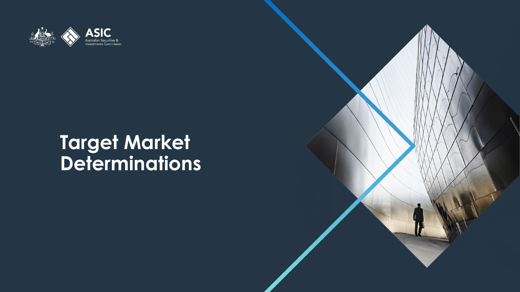

#### **Target Market Determinations**

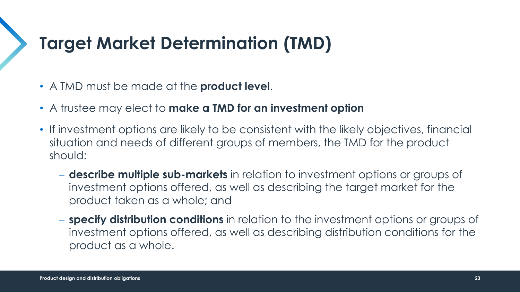#### **Target Market Determination (TMD)**

- A TMD must be made at the **product level**.
- A trustee may elect to **make a TMD for an investment option**
- If investment options are likely to be consistent with the likely objectives, financial situation and needs of different groups of members, the TMD for the product should:
	- **describe multiple sub-markets** in relation to investment options or groups of investment options offered, as well as describing the target market for the product taken as a whole; and
	- **specify distribution conditions** in relation to the investment options or groups of investment options offered, as well as describing distribution conditions for the product as a whole.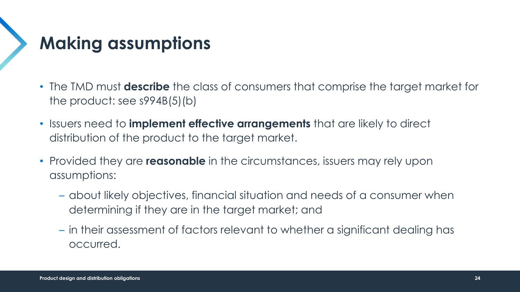## **Making assumptions**

- The TMD must **describe** the class of consumers that comprise the target market for the product: see s994B(5)(b)
- Issuers need to **implement effective arrangements** that are likely to direct distribution of the product to the target market.
- Provided they are **reasonable** in the circumstances, issuers may rely upon assumptions:
	- about likely objectives, financial situation and needs of a consumer when determining if they are in the target market; and
	- in their assessment of factors relevant to whether a significant dealing has occurred.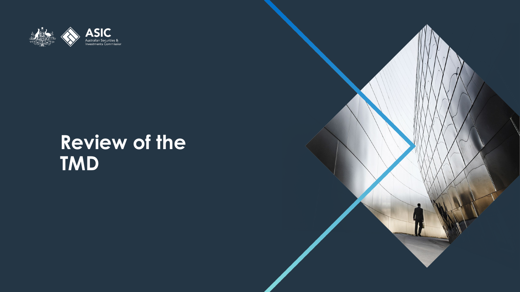

### **Review of the TMD**